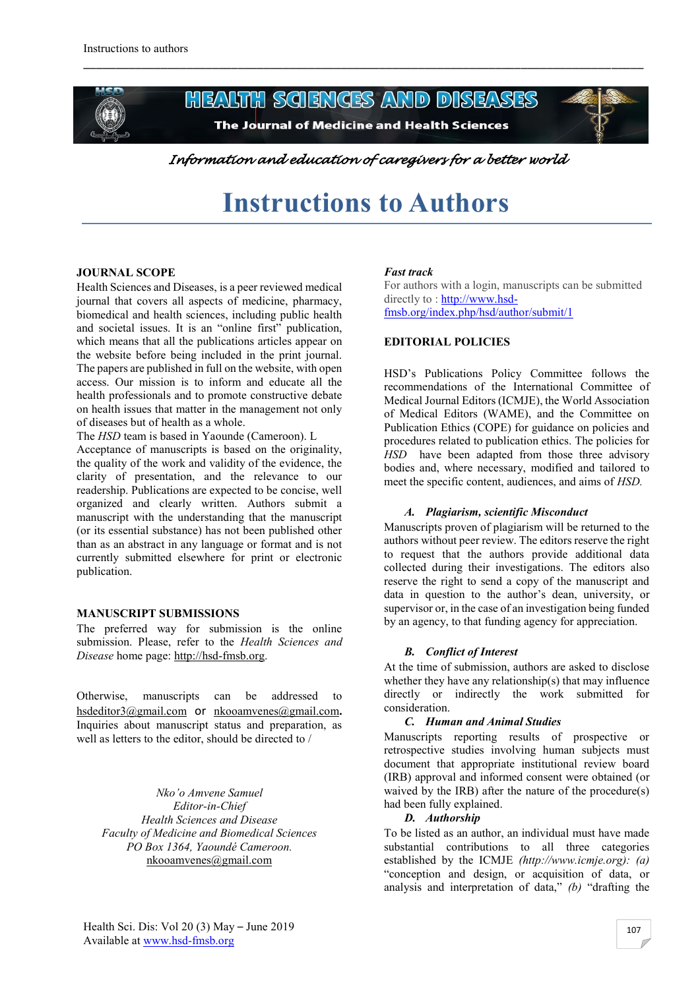

**HEALTH SCIENCES AND DISEASES** The Journal of Medicine and Health Sciences

\_\_\_\_\_\_\_\_\_\_\_\_\_\_\_\_\_\_\_\_\_\_\_\_\_\_\_\_\_\_\_\_\_\_\_\_\_\_\_\_\_\_\_\_\_\_\_\_\_\_\_\_\_\_\_\_\_\_\_\_\_\_\_\_\_\_\_\_\_\_\_\_\_\_\_\_\_\_\_\_\_\_\_\_\_\_\_



*Information and education of caregivers for a better world* 

# **Instructions to Authors**

#### **JOURNAL SCOPE**

Health Sciences and Diseases, is a peer reviewed medical journal that covers all aspects of medicine, pharmacy, biomedical and health sciences, including public health and societal issues. It is an "online first" publication, which means that all the publications articles appear on the website before being included in the print journal. The papers are published in full on the website, with open access. Our mission is to inform and educate all the health professionals and to promote constructive debate on health issues that matter in the management not only of diseases but of health as a whole.

The *HSD* team is based in Yaounde (Cameroon). L

Acceptance of manuscripts is based on the originality, the quality of the work and validity of the evidence, the clarity of presentation, and the relevance to our readership. Publications are expected to be concise, well organized and clearly written. Authors submit a manuscript with the understanding that the manuscript (or its essential substance) has not been published other than as an abstract in any language or format and is not currently submitted elsewhere for print or electronic publication.

#### **MANUSCRIPT SUBMISSIONS**

The preferred way for submission is the online submission. Please, refer to the *Health Sciences and Disease* home page: [http://hsd-fmsb.org.](http://hsd-fmsb.org/)

Otherwise, manuscripts can be addressed to [hsdeditor3@gmail.com](mailto:hsdeditor3@gmail.com) or [nkooamvenes@gmail.com](mailto:nkooamvenes@gmail.com)**.**  Inquiries about manuscript status and preparation, as well as letters to the editor, should be directed to /

*Nko'o Amvene Samuel Editor-in-Chief Health Sciences and Disease Faculty of Medicine and Biomedical Sciences PO Box 1364, Yaoundé Cameroon.* [nkooamvenes@gmail.com](mailto:nkooamvenes@gmail.com)

#### *Fast track*

For authors with a login, manuscripts can be submitted directly to: [http://www.hsd](http://www.hsd-fmsb.org/index.php/hsd/author/submit/1)[fmsb.org/index.php/hsd/author/submit/1](http://www.hsd-fmsb.org/index.php/hsd/author/submit/1)

## **EDITORIAL POLICIES**

HSD's Publications Policy Committee follows the recommendations of the International Committee of Medical Journal Editors (ICMJE), the World Association of Medical Editors (WAME), and the Committee on Publication Ethics (COPE) for guidance on policies and procedures related to publication ethics. The policies for *HSD* have been adapted from those three advisory bodies and, where necessary, modified and tailored to meet the specific content, audiences, and aims of *HSD.* 

#### *A. Plagiarism, scientific Misconduct*

Manuscripts proven of plagiarism will be returned to the authors without peer review. The editors reserve the right to request that the authors provide additional data collected during their investigations. The editors also reserve the right to send a copy of the manuscript and data in question to the author's dean, university, or supervisor or, in the case of an investigation being funded by an agency, to that funding agency for appreciation.

#### *B. Conflict of Interest*

At the time of submission, authors are asked to disclose whether they have any relationship(s) that may influence directly or indirectly the work submitted for consideration.

#### *C. Human and Animal Studies*

Manuscripts reporting results of prospective or retrospective studies involving human subjects must document that appropriate institutional review board (IRB) approval and informed consent were obtained (or waived by the IRB) after the nature of the procedure(s) had been fully explained.

#### *D. Authorship*

To be listed as an author, an individual must have made substantial contributions to all three categories established by the ICMJE *(http://www.icmje.org): (a)*  "conception and design, or acquisition of data, or analysis and interpretation of data," *(b)* "drafting the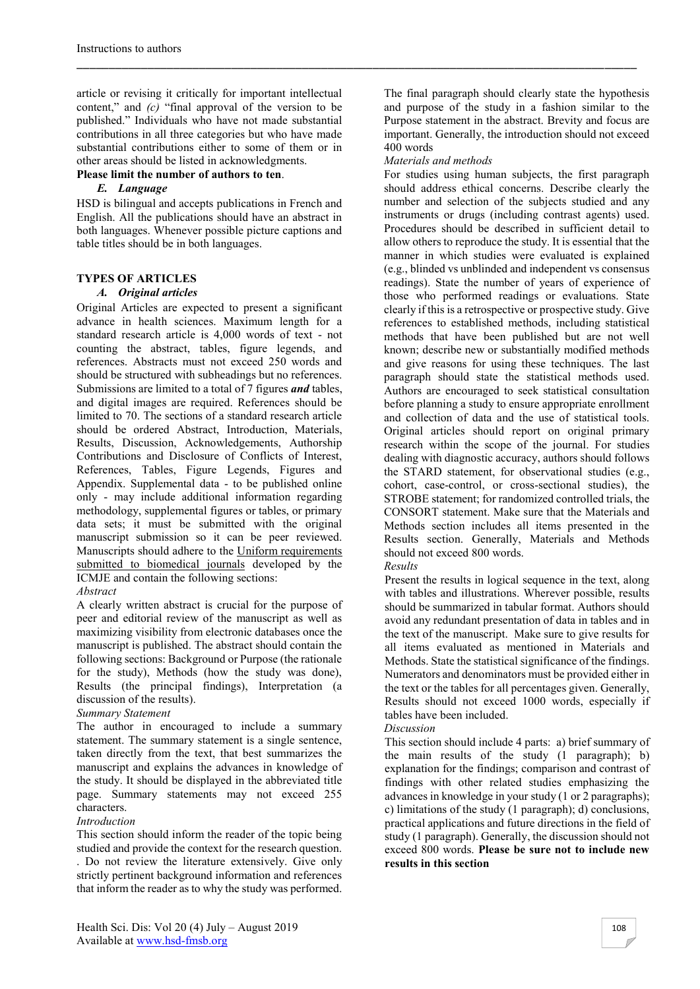article or revising it critically for important intellectual content," and *(c)* "final approval of the version to be published." Individuals who have not made substantial contributions in all three categories but who have made substantial contributions either to some of them or in other areas should be listed in acknowledgments.

## **Please limit the number of authors to ten**.

#### *E. Language*

HSD is bilingual and accepts publications in French and English. All the publications should have an abstract in both languages. Whenever possible picture captions and table titles should be in both languages.

## **TYPES OF ARTICLES**

## *A. Original articles*

Original Articles are expected to present a significant advance in health sciences. Maximum length for a standard research article is 4,000 words of text - not counting the abstract, tables, figure legends, and references. Abstracts must not exceed 250 words and should be structured with subheadings but no references. Submissions are limited to a total of 7 figures *and* tables, and digital images are required. References should be limited to 70. The sections of a standard research article should be ordered Abstract, Introduction, Materials, Results, Discussion, Acknowledgements, Authorship Contributions and Disclosure of Conflicts of Interest, References, Tables, Figure Legends, Figures and Appendix. Supplemental data - to be published online only - may include additional information regarding methodology, supplemental figures or tables, or primary data sets; it must be submitted with the original manuscript submission so it can be peer reviewed. Manuscripts should adhere to the [Uniform requirements](http://www.icmje.org/)  [submitted to biomedical journals](http://www.icmje.org/) developed by the ICMJE and contain the following sections:

# *Abstract*

A clearly written abstract is crucial for the purpose of peer and editorial review of the manuscript as well as maximizing visibility from electronic databases once the manuscript is published. The abstract should contain the following sections: Background or Purpose (the rationale for the study), Methods (how the study was done), Results (the principal findings), Interpretation (a discussion of the results).

## *Summary Statement*

The author in encouraged to include a summary statement. The summary statement is a single sentence, taken directly from the text, that best summarizes the manuscript and explains the advances in knowledge of the study. It should be displayed in the abbreviated title page. Summary statements may not exceed 255 characters.

## *Introduction*

This section should inform the reader of the topic being studied and provide the context for the research question. . Do not review the literature extensively. Give only strictly pertinent background information and references that inform the reader as to why the study was performed.

The final paragraph should clearly state the hypothesis and purpose of the study in a fashion similar to the Purpose statement in the abstract. Brevity and focus are important. Generally, the introduction should not exceed 400 words

## *Materials and methods*

\_\_\_\_\_\_\_\_\_\_\_\_\_\_\_\_\_\_\_\_\_\_\_\_\_\_\_\_\_\_\_\_\_\_\_\_\_\_\_\_\_\_\_\_\_\_\_\_\_\_\_\_\_\_\_\_\_\_\_\_\_\_\_\_\_\_\_\_\_\_\_\_\_\_\_\_\_\_\_\_\_\_\_\_\_\_\_

For studies using human subjects, the first paragraph should address ethical concerns. Describe clearly the number and selection of the subjects studied and any instruments or drugs (including contrast agents) used. Procedures should be described in sufficient detail to allow others to reproduce the study. It is essential that the manner in which studies were evaluated is explained (e.g., blinded vs unblinded and independent vs consensus readings). State the number of years of experience of those who performed readings or evaluations. State clearly if this is a retrospective or prospective study. Give references to established methods, including statistical methods that have been published but are not well known; describe new or substantially modified methods and give reasons for using these techniques. The last paragraph should state the statistical methods used. Authors are encouraged to seek statistical consultation before planning a study to ensure appropriate enrollment and collection of data and the use of statistical tools. Original articles should report on original primary research within the scope of the journal. For studies dealing with diagnostic accuracy, authors should follows the STARD statement, for observational studies (e.g., cohort, case-control, or cross-sectional studies), the STROBE statement; for randomized controlled trials, the CONSORT statement. Make sure that the Materials and Methods section includes all items presented in the Results section. Generally, Materials and Methods should not exceed 800 words.

# *Results*

Present the results in logical sequence in the text, along with tables and illustrations. Wherever possible, results should be summarized in tabular format. Authors should avoid any redundant presentation of data in tables and in the text of the manuscript. Make sure to give results for all items evaluated as mentioned in Materials and Methods. State the statistical significance of the findings. Numerators and denominators must be provided either in the text or the tables for all percentages given. Generally, Results should not exceed 1000 words, especially if tables have been included.

#### *Discussion*

This section should include 4 parts: a) brief summary of the main results of the study (1 paragraph); b) explanation for the findings; comparison and contrast of findings with other related studies emphasizing the advances in knowledge in your study (1 or 2 paragraphs); c) limitations of the study (1 paragraph); d) conclusions, practical applications and future directions in the field of study (1 paragraph). Generally, the discussion should not exceed 800 words. **Please be sure not to include new results in this section**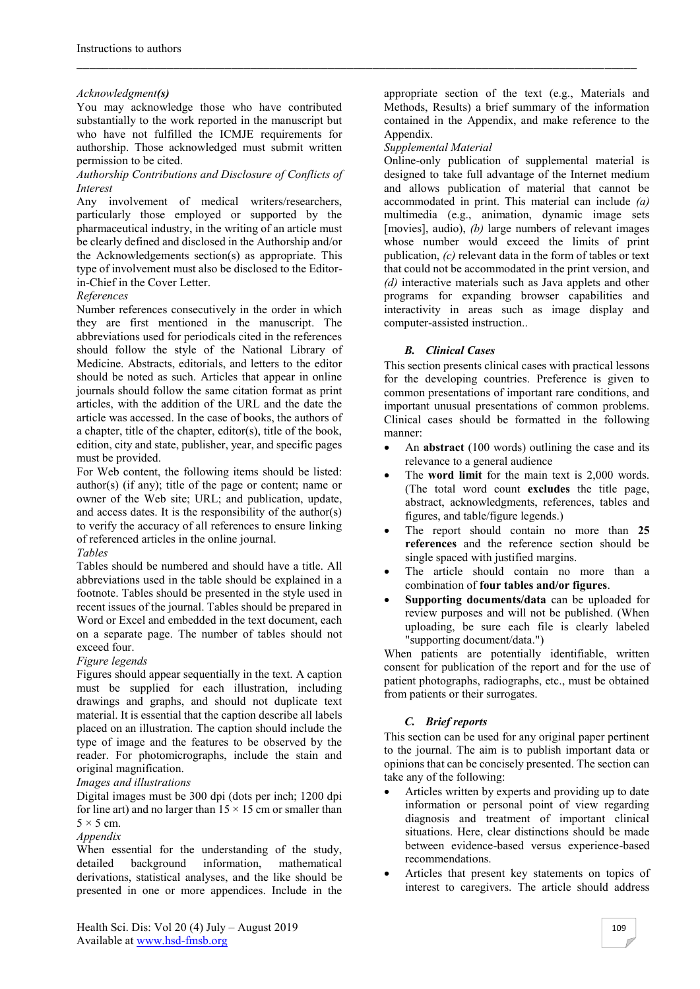#### *Acknowledgment(s)*

You may acknowledge those who have contributed substantially to the work reported in the manuscript but who have not fulfilled the ICMJE requirements for authorship. Those acknowledged must submit written permission to be cited.

#### *Authorship Contributions and Disclosure of Conflicts of Interest*

Any involvement of medical writers/researchers, particularly those employed or supported by the pharmaceutical industry, in the writing of an article must be clearly defined and disclosed in the Authorship and/or the Acknowledgements section(s) as appropriate. This type of involvement must also be disclosed to the Editorin-Chief in the Cover Letter.

#### *References*

Number references consecutively in the order in which they are first mentioned in the manuscript. The abbreviations used for periodicals cited in the references should follow the style of the National Library of Medicine. Abstracts, editorials, and letters to the editor should be noted as such. Articles that appear in online journals should follow the same citation format as print articles, with the addition of the URL and the date the article was accessed. In the case of books, the authors of a chapter, title of the chapter, editor(s), title of the book, edition, city and state, publisher, year, and specific pages must be provided.

For Web content, the following items should be listed: author(s) (if any); title of the page or content; name or owner of the Web site; URL; and publication, update, and access dates. It is the responsibility of the author(s) to verify the accuracy of all references to ensure linking of referenced articles in the online journal.

#### *Tables*

Tables should be numbered and should have a title. All abbreviations used in the table should be explained in a footnote. Tables should be presented in the style used in recent issues of the journal. Tables should be prepared in Word or Excel and embedded in the text document, each on a separate page. The number of tables should not exceed four.

#### *Figure legends*

Figures should appear sequentially in the text. A caption must be supplied for each illustration, including drawings and graphs, and should not duplicate text material. It is essential that the caption describe all labels placed on an illustration. The caption should include the type of image and the features to be observed by the reader. For photomicrographs, include the stain and original magnification.

#### *Images and illustrations*

Digital images must be 300 dpi (dots per inch; 1200 dpi for line art) and no larger than  $15 \times 15$  cm or smaller than  $5 \times 5$  cm.

#### *Appendix*

When essential for the understanding of the study, detailed background information, mathematical derivations, statistical analyses, and the like should be presented in one or more appendices. Include in the

appropriate section of the text (e.g., Materials and Methods, Results) a brief summary of the information contained in the Appendix, and make reference to the Appendix.

#### *Supplemental Material*

\_\_\_\_\_\_\_\_\_\_\_\_\_\_\_\_\_\_\_\_\_\_\_\_\_\_\_\_\_\_\_\_\_\_\_\_\_\_\_\_\_\_\_\_\_\_\_\_\_\_\_\_\_\_\_\_\_\_\_\_\_\_\_\_\_\_\_\_\_\_\_\_\_\_\_\_\_\_\_\_\_\_\_\_\_\_\_

Online-only publication of supplemental material is designed to take full advantage of the Internet medium and allows publication of material that cannot be accommodated in print. This material can include *(a)*  multimedia (e.g., animation, dynamic image sets [movies], audio), *(b)* large numbers of relevant images whose number would exceed the limits of print publication, *(c)* relevant data in the form of tables or text that could not be accommodated in the print version, and *(d)* interactive materials such as Java applets and other programs for expanding browser capabilities and interactivity in areas such as image display and computer-assisted instruction..

#### *B. Clinical Cases*

This section presents clinical cases with practical lessons for the developing countries. Preference is given to common presentations of important rare conditions, and important unusual presentations of common problems. Clinical cases should be formatted in the following manner:

- An **abstract** (100 words) outlining the case and its relevance to a general audience
- The **word limit** for the main text is 2,000 words. (The total word count **excludes** the title page, abstract, acknowledgments, references, tables and figures, and table/figure legends.)
- The report should contain no more than **25 references** and the reference section should be single spaced with justified margins.
- The article should contain no more than a combination of **four tables and/or figures**.
- **Supporting documents/data** can be uploaded for review purposes and will not be published. (When uploading, be sure each file is clearly labeled "supporting document/data.")

When patients are potentially identifiable, written consent for publication of the report and for the use of patient photographs, radiographs, etc., must be obtained from patients or their surrogates.

#### *C. Brief reports*

This section can be used for any original paper pertinent to the journal. The aim is to publish important data or opinions that can be concisely presented. The section can take any of the following:

- Articles written by experts and providing up to date information or personal point of view regarding diagnosis and treatment of important clinical situations. Here, clear distinctions should be made between evidence-based versus experience-based recommendations.
- Articles that present key statements on topics of interest to caregivers. The article should address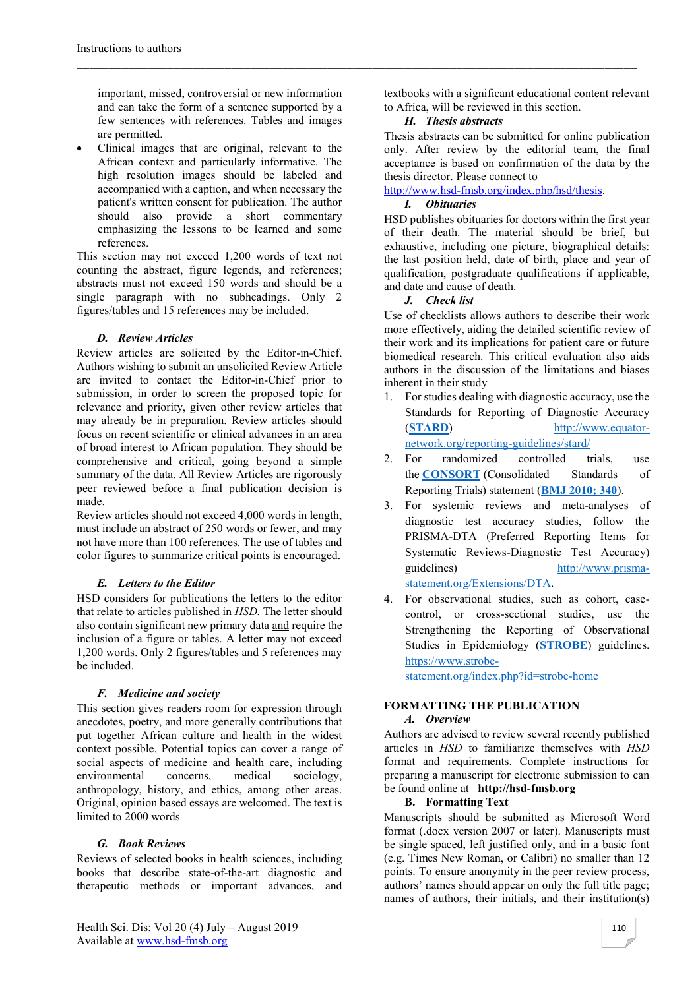important, missed, controversial or new information and can take the form of a sentence supported by a few sentences with references. Tables and images are permitted.

 Clinical images that are original, relevant to the African context and particularly informative. The high resolution images should be labeled and accompanied with a caption, and when necessary the patient's written consent for publication. The author should also provide a short commentary emphasizing the lessons to be learned and some references.

This section may not exceed 1,200 words of text not counting the abstract, figure legends, and references; abstracts must not exceed 150 words and should be a single paragraph with no subheadings. Only 2 figures/tables and 15 references may be included.

## *D. Review Articles*

Review articles are solicited by the Editor-in-Chief. Authors wishing to submit an unsolicited Review Article are invited to contact the Editor-in-Chief prior to submission, in order to screen the proposed topic for relevance and priority, given other review articles that may already be in preparation. Review articles should focus on recent scientific or clinical advances in an area of broad interest to African population. They should be comprehensive and critical, going beyond a simple summary of the data. All Review Articles are rigorously peer reviewed before a final publication decision is made.

Review articles should not exceed 4,000 words in length, must include an abstract of 250 words or fewer, and may not have more than 100 references. The use of tables and color figures to summarize critical points is encouraged.

#### *E. Letters to the Editor*

HSD considers for publications the letters to the editor that relate to articles published in *HSD.* The letter should also contain significant new primary data and require the inclusion of a figure or tables. A letter may not exceed 1,200 words. Only 2 figures/tables and 5 references may be included.

#### *F. Medicine and society*

This section gives readers room for expression through anecdotes, poetry, and more generally contributions that put together African culture and health in the widest context possible. Potential topics can cover a range of social aspects of medicine and health care, including environmental concerns, medical sociology, anthropology, history, and ethics, among other areas. Original, opinion based essays are welcomed. The text is limited to 2000 words

#### *G. Book Reviews*

Reviews of selected books in health sciences, including books that describe state-of-the-art diagnostic and therapeutic methods or important advances, and textbooks with a significant educational content relevant to Africa, will be reviewed in this section.

## *H. Thesis abstracts*

\_\_\_\_\_\_\_\_\_\_\_\_\_\_\_\_\_\_\_\_\_\_\_\_\_\_\_\_\_\_\_\_\_\_\_\_\_\_\_\_\_\_\_\_\_\_\_\_\_\_\_\_\_\_\_\_\_\_\_\_\_\_\_\_\_\_\_\_\_\_\_\_\_\_\_\_\_\_\_\_\_\_\_\_\_\_\_

Thesis abstracts can be submitted for online publication only. After review by the editorial team, the final acceptance is based on confirmation of the data by the thesis director. Please connect to

[http://www.hsd-fmsb.org/index.php/hsd/thesis.](http://www.hsd-fmsb.org/index.php/hsd/thesis)

#### *I. Obituaries*

HSD publishes obituaries for doctors within the first year of their death. The material should be brief, but exhaustive, including one picture, biographical details: the last position held, date of birth, place and year of qualification, postgraduate qualifications if applicable, and date and cause of death.

#### *J. Check list*

Use of checklists allows authors to describe their work more effectively, aiding the detailed scientific review of their work and its implications for patient care or future biomedical research. This critical evaluation also aids authors in the discussion of the limitations and biases inherent in their study

- 1. For studies dealing with diagnostic accuracy, use the Standards for Reporting of Diagnostic Accuracy (**[STARD](http://www.stard-statement.org/)**) [http://www.equator](http://www.equator-network.org/reporting-guidelines/stard/)[network.org/reporting-guidelines/stard/](http://www.equator-network.org/reporting-guidelines/stard/)
- 2. For randomized controlled trials, use the **[CONSORT](http://www.consort-statement.org/)** (Consolidated Standards of Reporting Trials) statement (**[BMJ 2010; 340](http://dx.doi.org/10.1136/bmj.c332)**).
- 3. For systemic reviews and meta-analyses of diagnostic test accuracy studies, follow the PRISMA-DTA (Preferred Reporting Items for Systematic Reviews-Diagnostic Test Accuracy) guidelines) [http://www.prisma](http://www.prisma-statement.org/Extensions/DTA)[statement.org/Extensions/DTA.](http://www.prisma-statement.org/Extensions/DTA)
- 4. For observational studies, such as cohort, casecontrol, or cross-sectional studies, use the Strengthening the Reporting of Observational Studies in Epidemiology (**[STROBE](http://www.strobe-statement.org/)**) guidelines. [https://www.strobe-](https://www.strobe-statement.org/index.php?id=strobe-home)

[statement.org/index.php?id=strobe-home](https://www.strobe-statement.org/index.php?id=strobe-home)

#### **FORMATTING THE PUBLICATION**

#### *A. Overview*

Authors are advised to review several recently published articles in *HSD* to familiarize themselves with *HSD*  format and requirements. Complete instructions for preparing a manuscript for electronic submission to can be found online at **[http://hsd-fmsb.org](http://hsd-fmsb.org/)**

#### **B. Formatting Text**

Manuscripts should be submitted as Microsoft Word format (.docx version 2007 or later). Manuscripts must be single spaced, left justified only, and in a basic font (e.g. Times New Roman, or Calibri) no smaller than 12 points. To ensure anonymity in the peer review process, authors' names should appear on only the full title page; names of authors, their initials, and their institution(s)